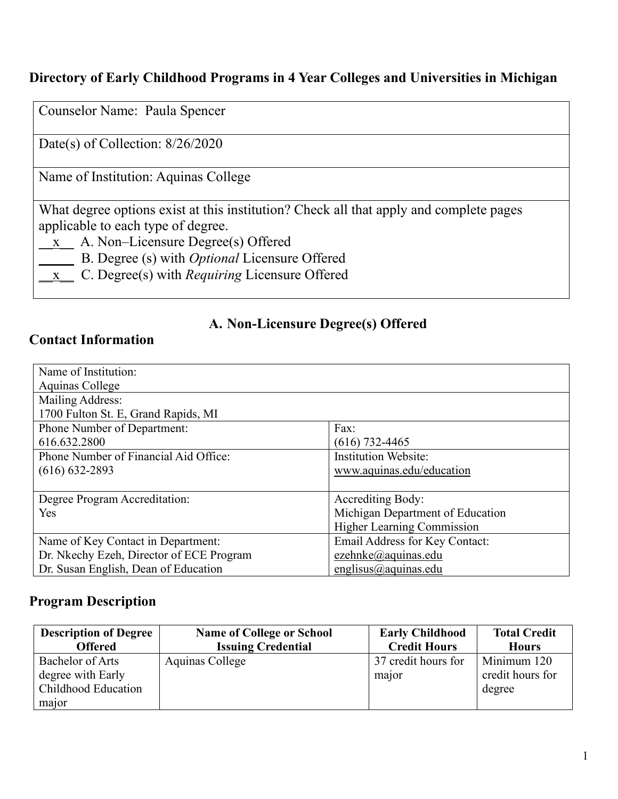### **Directory of Early Childhood Programs in 4 Year Colleges and Universities in Michigan**

Counselor Name: Paula Spencer

Date(s) of Collection: 8/26/2020

Name of Institution: Aquinas College

What degree options exist at this institution? Check all that apply and complete pages applicable to each type of degree.

- $\underline{x}$  A. Non–Licensure Degree(s) Offered
	- \_\_\_\_\_ B. Degree (s) with *Optional* Licensure Offered
	- \_\_x\_\_ C. Degree(s) with *Requiring* Licensure Offered

### **A. Non-Licensure Degree(s) Offered**

#### **Contact Information**

| Name of Institution:                     |                                   |
|------------------------------------------|-----------------------------------|
|                                          |                                   |
| Aquinas College                          |                                   |
| Mailing Address:                         |                                   |
| 1700 Fulton St. E, Grand Rapids, MI      |                                   |
| <b>Phone Number of Department:</b>       | Fax:                              |
| 616.632.2800                             | $(616)$ 732-4465                  |
| Phone Number of Financial Aid Office:    | <b>Institution Website:</b>       |
| $(616) 632 - 2893$                       | www.aquinas.edu/education         |
|                                          |                                   |
| Degree Program Accreditation:            | <b>Accrediting Body:</b>          |
| Yes                                      | Michigan Department of Education  |
|                                          | <b>Higher Learning Commission</b> |
| Name of Key Contact in Department:       | Email Address for Key Contact:    |
| Dr. Nkechy Ezeh, Director of ECE Program | ezehnke@aquinas.edu               |
| Dr. Susan English, Dean of Education     | englisus@aquinas.edu              |

#### **Program Description**

| <b>Description of Degree</b> | <b>Name of College or School</b> | <b>Early Childhood</b> | <b>Total Credit</b> |
|------------------------------|----------------------------------|------------------------|---------------------|
| <b>Offered</b>               | <b>Issuing Credential</b>        | <b>Credit Hours</b>    | <b>Hours</b>        |
| Bachelor of Arts             | Aquinas College                  | 37 credit hours for    | Minimum 120         |
| degree with Early            |                                  | major                  | credit hours for    |
| Childhood Education          |                                  |                        | degree              |
| major                        |                                  |                        |                     |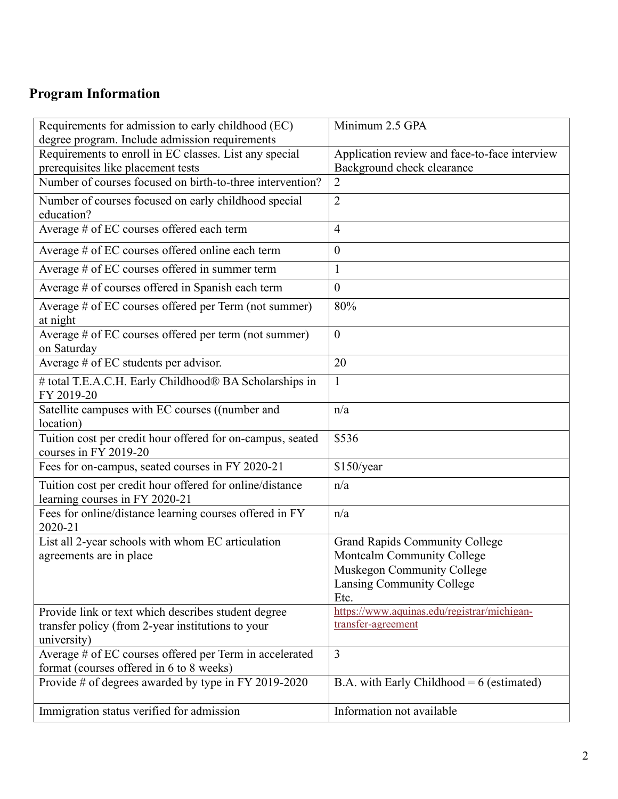# **Program Information**

| Requirements for admission to early childhood (EC)<br>degree program. Include admission requirements                    | Minimum 2.5 GPA                                                                                                                        |
|-------------------------------------------------------------------------------------------------------------------------|----------------------------------------------------------------------------------------------------------------------------------------|
| Requirements to enroll in EC classes. List any special                                                                  | Application review and face-to-face interview                                                                                          |
| prerequisites like placement tests                                                                                      | Background check clearance                                                                                                             |
| Number of courses focused on birth-to-three intervention?                                                               | $\overline{2}$                                                                                                                         |
| Number of courses focused on early childhood special<br>education?                                                      | $\overline{2}$                                                                                                                         |
| Average # of EC courses offered each term                                                                               | $\overline{4}$                                                                                                                         |
| Average # of EC courses offered online each term                                                                        | $\boldsymbol{0}$                                                                                                                       |
| Average # of EC courses offered in summer term                                                                          | $\mathbf{1}$                                                                                                                           |
| Average # of courses offered in Spanish each term                                                                       | $\boldsymbol{0}$                                                                                                                       |
| Average # of EC courses offered per Term (not summer)<br>at night                                                       | 80%                                                                                                                                    |
| Average # of EC courses offered per term (not summer)<br>on Saturday                                                    | $\mathbf{0}$                                                                                                                           |
| Average # of EC students per advisor.                                                                                   | 20                                                                                                                                     |
| # total T.E.A.C.H. Early Childhood® BA Scholarships in<br>FY 2019-20                                                    | $\mathbf{1}$                                                                                                                           |
| Satellite campuses with EC courses ((number and<br>location)                                                            | n/a                                                                                                                                    |
| Tuition cost per credit hour offered for on-campus, seated<br>courses in FY 2019-20                                     | \$536                                                                                                                                  |
| Fees for on-campus, seated courses in FY 2020-21                                                                        | \$150/year                                                                                                                             |
| Tuition cost per credit hour offered for online/distance<br>learning courses in FY 2020-21                              | n/a                                                                                                                                    |
| Fees for online/distance learning courses offered in FY<br>2020-21                                                      | n/a                                                                                                                                    |
| List all 2-year schools with whom EC articulation<br>agreements are in place                                            | <b>Grand Rapids Community College</b><br>Montcalm Community College<br>Muskegon Community College<br>Lansing Community College<br>Etc. |
| Provide link or text which describes student degree<br>transfer policy (from 2-year institutions to your<br>university) | https://www.aquinas.edu/registrar/michigan-<br>transfer-agreement                                                                      |
| Average # of EC courses offered per Term in accelerated<br>format (courses offered in 6 to 8 weeks)                     | 3                                                                                                                                      |
| Provide # of degrees awarded by type in FY 2019-2020                                                                    | B.A. with Early Childhood = $6$ (estimated)                                                                                            |
| Immigration status verified for admission                                                                               | Information not available                                                                                                              |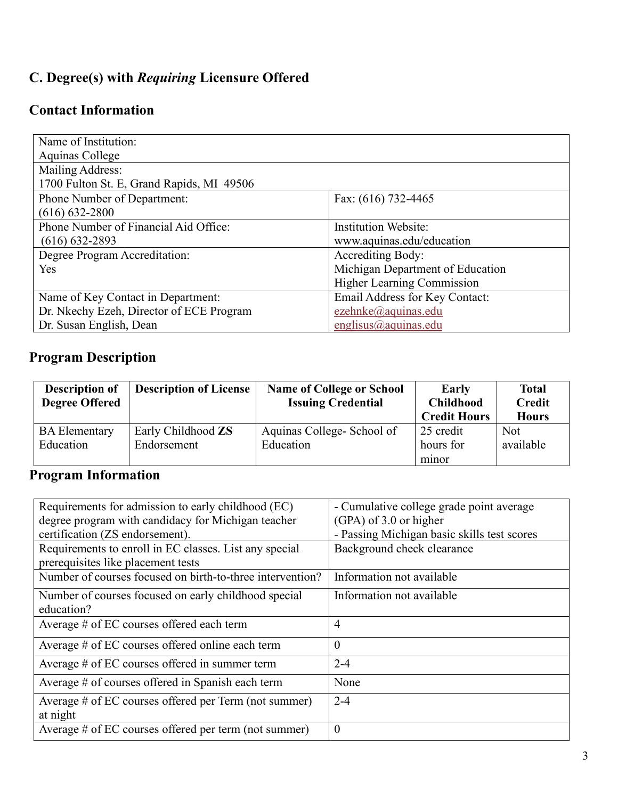## **C. Degree(s) with** *Requiring* **Licensure Offered**

### **Contact Information**

| Name of Institution:                      |                                   |
|-------------------------------------------|-----------------------------------|
| Aquinas College                           |                                   |
| Mailing Address:                          |                                   |
| 1700 Fulton St. E, Grand Rapids, MI 49506 |                                   |
| Phone Number of Department:               | Fax: (616) 732-4465               |
| $(616) 632 - 2800$                        |                                   |
| Phone Number of Financial Aid Office:     | <b>Institution Website:</b>       |
| $(616) 632 - 2893$                        | www.aquinas.edu/education         |
| Degree Program Accreditation:             | <b>Accrediting Body:</b>          |
| Yes                                       | Michigan Department of Education  |
|                                           | <b>Higher Learning Commission</b> |
| Name of Key Contact in Department:        | Email Address for Key Contact:    |
| Dr. Nkechy Ezeh, Director of ECE Program  | ezehnke@aquinas.edu               |
| Dr. Susan English, Dean                   | englisus@aquinas.edu              |

# **Program Description**

| <b>Description of</b><br><b>Degree Offered</b> | <b>Description of License</b>     | <b>Name of College or School</b><br><b>Issuing Credential</b> | Early<br><b>Childhood</b><br><b>Credit Hours</b> | <b>Total</b><br><b>Credit</b><br><b>Hours</b> |
|------------------------------------------------|-----------------------------------|---------------------------------------------------------------|--------------------------------------------------|-----------------------------------------------|
| <b>BA Elementary</b><br>Education              | Early Childhood ZS<br>Endorsement | Aquinas College-School of<br>Education                        | 25 credit<br>hours for<br>minor                  | <b>Not</b><br>available                       |

## **Program Information**

| Requirements for admission to early childhood (EC)        | - Cumulative college grade point average    |
|-----------------------------------------------------------|---------------------------------------------|
| degree program with candidacy for Michigan teacher        | (GPA) of 3.0 or higher                      |
| certification (ZS endorsement).                           | - Passing Michigan basic skills test scores |
| Requirements to enroll in EC classes. List any special    | Background check clearance                  |
| prerequisites like placement tests                        |                                             |
| Number of courses focused on birth-to-three intervention? | Information not available                   |
| Number of courses focused on early childhood special      | Information not available                   |
| education?                                                |                                             |
| Average # of EC courses offered each term                 | 4                                           |
| Average # of EC courses offered online each term          | $\theta$                                    |
| Average $#$ of EC courses offered in summer term          | $2 - 4$                                     |
| Average # of courses offered in Spanish each term         | None                                        |
| Average # of EC courses offered per Term (not summer)     | $2 - 4$                                     |
| at night                                                  |                                             |
| Average # of EC courses offered per term (not summer)     | $\boldsymbol{0}$                            |